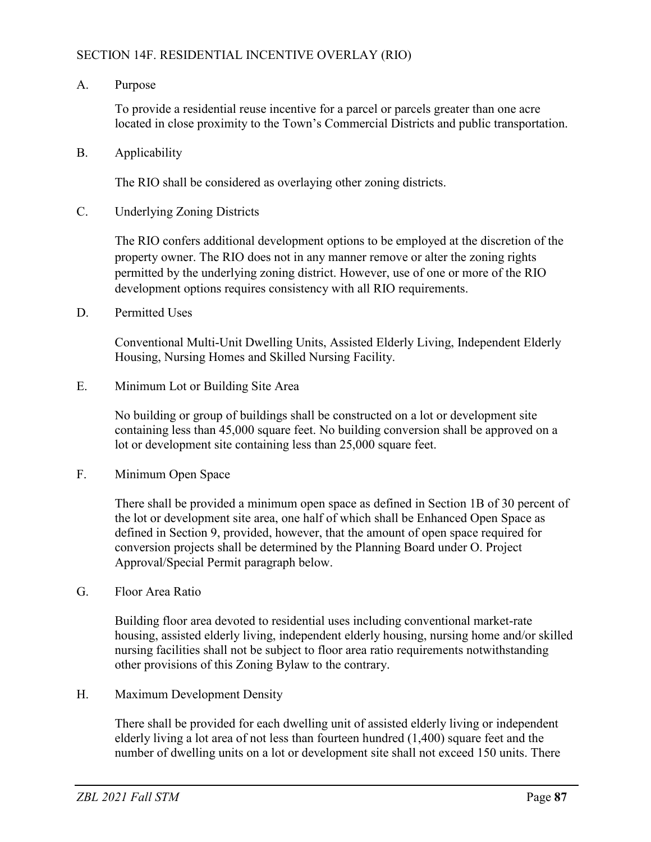## SECTION 14F. RESIDENTIAL INCENTIVE OVERLAY (RIO)

A. Purpose

To provide a residential reuse incentive for a parcel or parcels greater than one acre located in close proximity to the Town's Commercial Districts and public transportation.

B. Applicability

The RIO shall be considered as overlaying other zoning districts.

C. Underlying Zoning Districts

The RIO confers additional development options to be employed at the discretion of the property owner. The RIO does not in any manner remove or alter the zoning rights permitted by the underlying zoning district. However, use of one or more of the RIO development options requires consistency with all RIO requirements.

D. Permitted Uses

Conventional Multi-Unit Dwelling Units, Assisted Elderly Living, Independent Elderly Housing, Nursing Homes and Skilled Nursing Facility.

E. Minimum Lot or Building Site Area

No building or group of buildings shall be constructed on a lot or development site containing less than 45,000 square feet. No building conversion shall be approved on a lot or development site containing less than 25,000 square feet.

F. Minimum Open Space

There shall be provided a minimum open space as defined in Section 1B of 30 percent of the lot or development site area, one half of which shall be Enhanced Open Space as defined in Section 9, provided, however, that the amount of open space required for conversion projects shall be determined by the Planning Board under O. Project Approval/Special Permit paragraph below.

G. Floor Area Ratio

Building floor area devoted to residential uses including conventional market-rate housing, assisted elderly living, independent elderly housing, nursing home and/or skilled nursing facilities shall not be subject to floor area ratio requirements notwithstanding other provisions of this Zoning Bylaw to the contrary.

H. Maximum Development Density

There shall be provided for each dwelling unit of assisted elderly living or independent elderly living a lot area of not less than fourteen hundred (1,400) square feet and the number of dwelling units on a lot or development site shall not exceed 150 units. There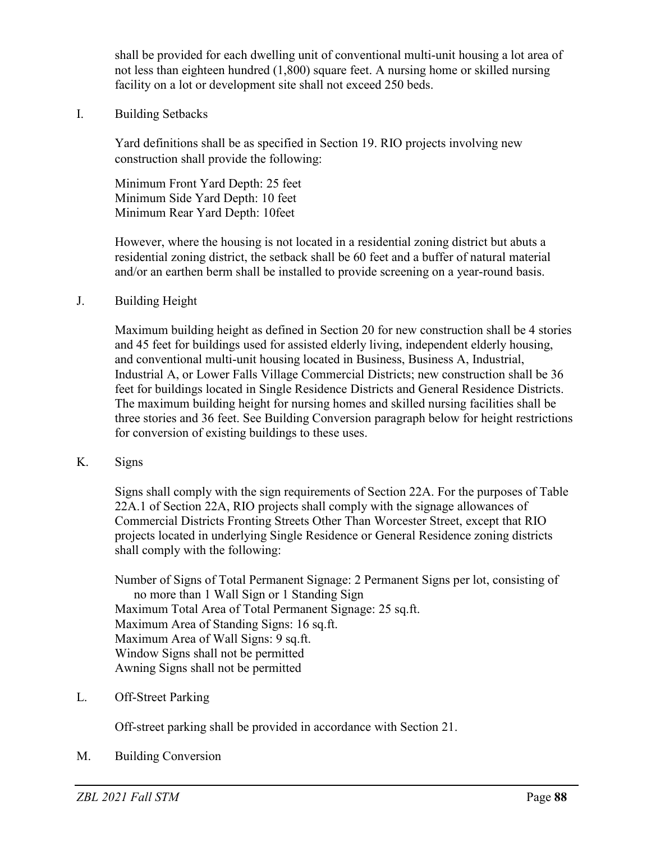shall be provided for each dwelling unit of conventional multi-unit housing a lot area of not less than eighteen hundred (1,800) square feet. A nursing home or skilled nursing facility on a lot or development site shall not exceed 250 beds.

I. Building Setbacks

Yard definitions shall be as specified in Section 19. RIO projects involving new construction shall provide the following:

Minimum Front Yard Depth: 25 feet Minimum Side Yard Depth: 10 feet Minimum Rear Yard Depth: 10feet

However, where the housing is not located in a residential zoning district but abuts a residential zoning district, the setback shall be 60 feet and a buffer of natural material and/or an earthen berm shall be installed to provide screening on a year-round basis.

J. Building Height

Maximum building height as defined in Section 20 for new construction shall be 4 stories and 45 feet for buildings used for assisted elderly living, independent elderly housing, and conventional multi-unit housing located in Business, Business A, Industrial, Industrial A, or Lower Falls Village Commercial Districts; new construction shall be 36 feet for buildings located in Single Residence Districts and General Residence Districts. The maximum building height for nursing homes and skilled nursing facilities shall be three stories and 36 feet. See Building Conversion paragraph below for height restrictions for conversion of existing buildings to these uses.

K. Signs

Signs shall comply with the sign requirements of Section 22A. For the purposes of Table 22A.1 of Section 22A, RIO projects shall comply with the signage allowances of Commercial Districts Fronting Streets Other Than Worcester Street, except that RIO projects located in underlying Single Residence or General Residence zoning districts shall comply with the following:

Number of Signs of Total Permanent Signage: 2 Permanent Signs per lot, consisting of no more than 1 Wall Sign or 1 Standing Sign Maximum Total Area of Total Permanent Signage: 25 sq.ft. Maximum Area of Standing Signs: 16 sq.ft. Maximum Area of Wall Signs: 9 sq.ft. Window Signs shall not be permitted Awning Signs shall not be permitted

L. Off-Street Parking

Off-street parking shall be provided in accordance with Section 21.

M. Building Conversion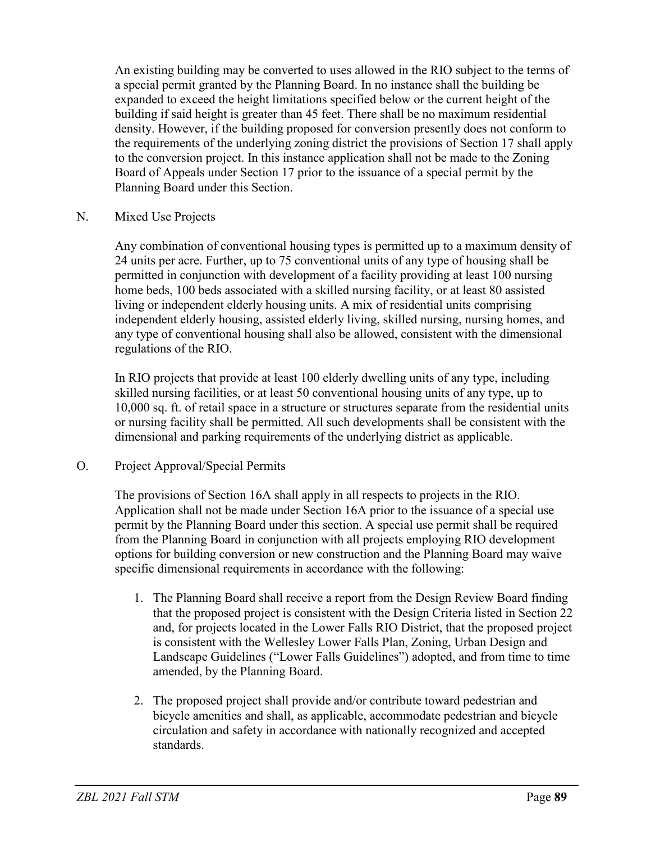An existing building may be converted to uses allowed in the RIO subject to the terms of a special permit granted by the Planning Board. In no instance shall the building be expanded to exceed the height limitations specified below or the current height of the building if said height is greater than 45 feet. There shall be no maximum residential density. However, if the building proposed for conversion presently does not conform to the requirements of the underlying zoning district the provisions of Section 17 shall apply to the conversion project. In this instance application shall not be made to the Zoning Board of Appeals under Section 17 prior to the issuance of a special permit by the Planning Board under this Section.

## N. Mixed Use Projects

Any combination of conventional housing types is permitted up to a maximum density of 24 units per acre. Further, up to 75 conventional units of any type of housing shall be permitted in conjunction with development of a facility providing at least 100 nursing home beds, 100 beds associated with a skilled nursing facility, or at least 80 assisted living or independent elderly housing units. A mix of residential units comprising independent elderly housing, assisted elderly living, skilled nursing, nursing homes, and any type of conventional housing shall also be allowed, consistent with the dimensional regulations of the RIO.

In RIO projects that provide at least 100 elderly dwelling units of any type, including skilled nursing facilities, or at least 50 conventional housing units of any type, up to 10,000 sq. ft. of retail space in a structure or structures separate from the residential units or nursing facility shall be permitted. All such developments shall be consistent with the dimensional and parking requirements of the underlying district as applicable.

## O. Project Approval/Special Permits

The provisions of Section 16A shall apply in all respects to projects in the RIO. Application shall not be made under Section 16A prior to the issuance of a special use permit by the Planning Board under this section. A special use permit shall be required from the Planning Board in conjunction with all projects employing RIO development options for building conversion or new construction and the Planning Board may waive specific dimensional requirements in accordance with the following:

- 1. The Planning Board shall receive a report from the Design Review Board finding that the proposed project is consistent with the Design Criteria listed in Section 22 and, for projects located in the Lower Falls RIO District, that the proposed project is consistent with the Wellesley Lower Falls Plan, Zoning, Urban Design and Landscape Guidelines ("Lower Falls Guidelines") adopted, and from time to time amended, by the Planning Board.
- 2. The proposed project shall provide and/or contribute toward pedestrian and bicycle amenities and shall, as applicable, accommodate pedestrian and bicycle circulation and safety in accordance with nationally recognized and accepted standards.